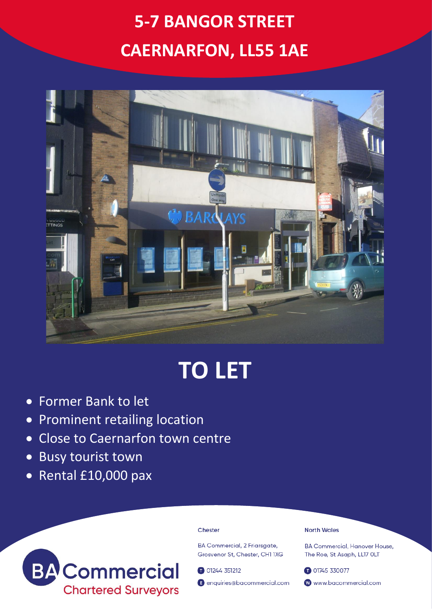## **5-7 BANGOR STREET CAERNARFON, LL55 1AE**



# **TO LET**

- Former Bank to let
- Prominent retailing location
- Close to Caernarfon town centre
- Busy tourist town
- Rental £10,000 pax



#### Chester

**BA Commercial, 2 Friarsaate,** Grosvenor St. Chester, CH1 1XG

01244 351212

enquiries@bacommercial.com

## **North Wales**

**BA Commercial, Hanover House.** The Roe, St Asaph, LL17 OLT

01745 330077 www.bacommercial.com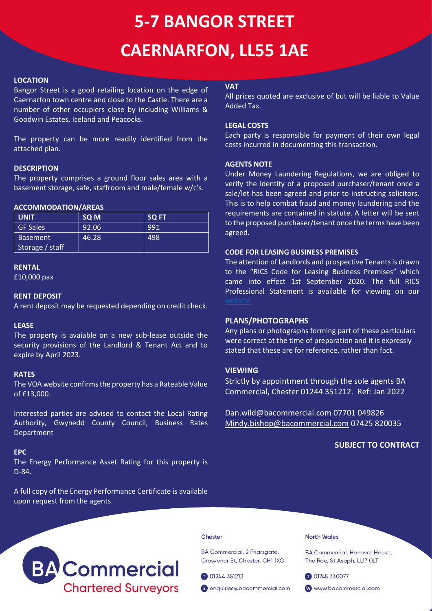## **5-7 BANGOR STREET CAERNARFON, LL55 1AE**

## **LOCATION**

Bangor Street is a good retailing location on the edge of Caernarfon town centre and close to the Castle. There are a number of other occupiers close by including Williams & Goodwin Estates, Iceland and Peacocks.

The property can be more readily identified from the attached plan.

## **DESCRIPTION**

The property comprises a ground floor sales area with a basement storage, safe, staffroom and male/female w/c's.

## **ACCOMMODATION/AREAS**

| <b>UNIT</b>     | <b>SQ M</b> | <b>SQ FT</b> |
|-----------------|-------------|--------------|
| <b>GF Sales</b> | 92.06       | 991          |
| <b>Basement</b> | 46.28       | 498          |
| Storage / staff |             |              |

#### **RENTAL**

£10,000 pax

## **RENT DEPOSIT**

A rent deposit may be requested depending on credit check.

## **LEASE**

The property is avaiable on a new sub-lease outside the security provisions of the Landlord & Tenant Act and to expire by April 2023.

#### **RATES**

The VOA website confirms the property has a Rateable Value of £13,000.

Interested parties are advised to contact the Local Rating Authority, Gwynedd County Council, Business Rates Department

#### **EPC**

The Energy Performance Asset Rating for this property is D-84.

A full copy of the Energy Performance Certificate is available upon request from the agents.

## **VAT**

All prices quoted are exclusive of but will be liable to Value Added Tax.

## **LEGAL COSTS**

Each party is responsible for payment of their own legal costs incurred in documenting this transaction.

#### **AGENTS NOTE**

Under Money Laundering Regulations, we are obliged to verify the identity of a proposed purchaser/tenant once a sale/let has been agreed and prior to instructing solicitors. This is to help combat fraud and money laundering and the requirements are contained in statute. A letter will be sent to the proposed purchaser/tenant once the terms have been agreed.

## **CODE FOR LEASING BUSINESS PREMISES**

The attention of Landlords and prospective Tenants is drawn to the "RICS Code for Leasing Business Premises" which came into effect 1st September 2020. The full RICS Professional Statement is available for viewing on our

## **PLANS/PHOTOGRAPHS**

Any plans or photographs forming part of these particulars were correct at the time of preparation and it is expressly stated that these are for reference, rather than fact.

## **VIEWING**

Strictly by appointment through the sole agents BA Commercial, Chester 01244 351212. Ref: Jan 2022

[Dan.wild@bacommercial.com](mailto:Dan.wild@bacommercial.com) 07701 049826 [Mindy.bishop@bacommercial.com](mailto:Mindy.bishop@bacommercial.com) 07425 820035

## **SUBJECT TO CONTRACT**



#### Chester

BA Commercial, 2 Friarsgate, Grosvenor St, Chester, CH1 1XG

01244 351212

enquiries@bacommercial.com

**North Wales** 

**BA Commercial, Hanover House,** The Roe, St Asaph, LL17 OLT

01745 330077

www.bacommercial.com